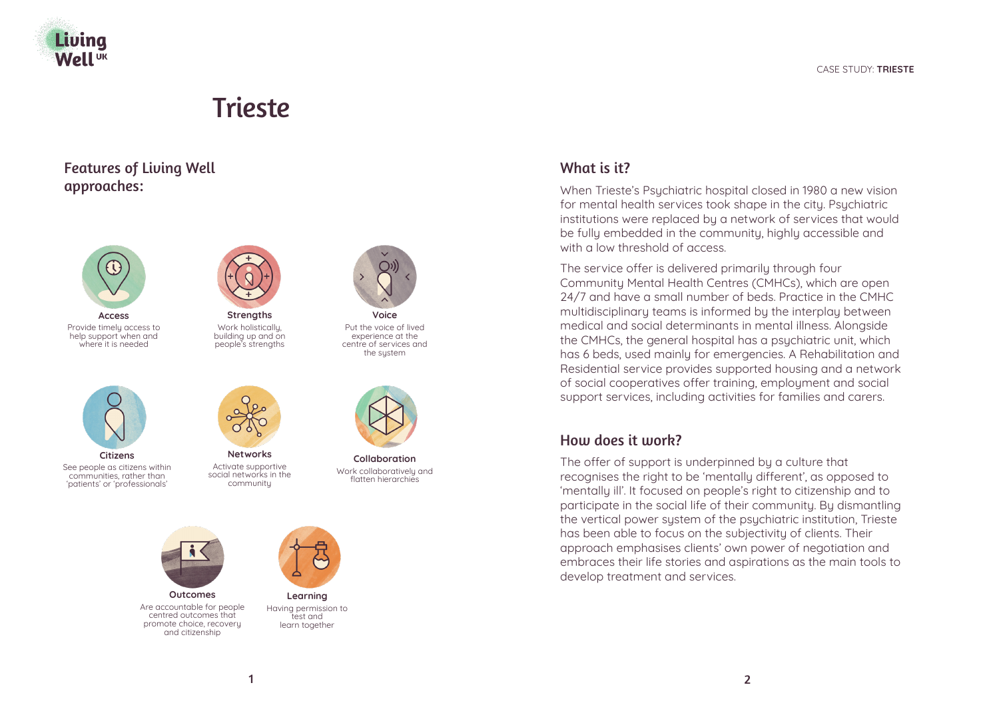

# Trieste

Features of Living Well approaches:





Provide timely access to help support when and where it is needed



**Strengths** Work holisticallu. building up and on people's strengths



Put the voice of lived experience at the centre of services and the sustem



See people as citizens within communities, rather than 'patients' or 'professionals'



Activate supportive social networks in the community



**Collaboration** Work collaboratively and flatten hierarchies



Are accountable for people centred outcomes that promote choice, recovery and citizenship



**Learning** Having permission to test and learn together

# What is it?

When Trieste's Psychiatric hospital closed in 1980 a new vision for mental health services took shape in the city. Psychiatric institutions were replaced by a network of services that would be fully embedded in the community, highly accessible and with a low threshold of access.

The service offer is delivered primarily through four Community Mental Health Centres (CMHCs), which are open 24/7 and have a small number of beds. Practice in the CMHC multidisciplinary teams is informed by the interplay between medical and social determinants in mental illness. Alongside the CMHCs, the general hospital has a psychiatric unit, which has 6 beds, used mainly for emergencies. A Rehabilitation and Residential service provides supported housing and a network of social cooperatives offer training, employment and social support services, including activities for families and carers.

## How does it work?

The offer of support is underpinned by a culture that recognises the right to be 'mentally different', as opposed to 'mentally ill'. It focused on people's right to citizenship and to participate in the social life of their community. By dismantling the vertical power system of the psychiatric institution, Trieste has been able to focus on the subjectivity of clients. Their approach emphasises clients' own power of negotiation and embraces their life stories and aspirations as the main tools to develop treatment and services.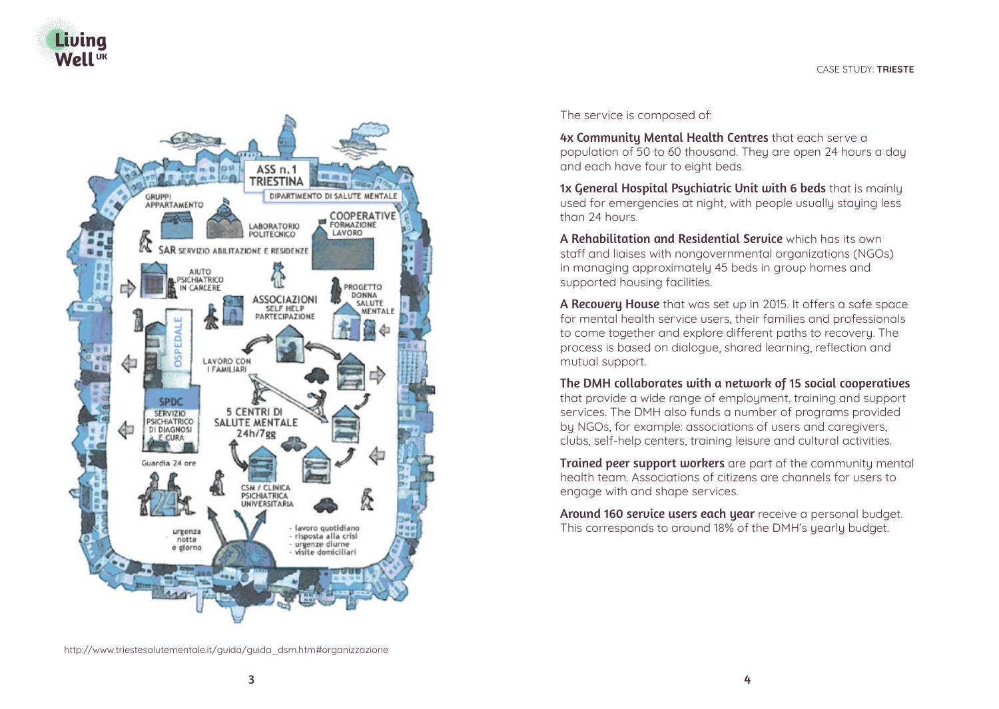



The service is composed of:

4x Community Mental Health Centres that each serve a population of 50 to 60 thousand. They are open 24 hours a day and each have four to eight beds.

1x General Hospital Psychiatric Unit with 6 beds that is mainly used for emergencies at night, with people usually staying less than 24 hours.

A Rehabilitation and Residential Service which has its own staff and liaises with nongovernmental organizations (NGOs) in managing approximately 45 beds in group homes and supported housing facilities.

A Recovery House that was set up in 2015. It offers a safe space for mental health service users, their families and professionals to come together and explore different paths to recovery. The process is based on dialogue, shared learning, reflection and mutual support.

The DMH collaborates with a network of 15 social cooperatives that provide a wide range of employment, training and support services. The DMH also funds a number of programs provided by NGOs, for example: associations of users and caregivers, clubs, self-help centers, training leisure and cultural activities.

**Trained peer support workers** are part of the community mental health team. Associations of citizens are channels for users to engage with and shape services.

Around 160 service users each year receive a personal budget. This corresponds to around 18% of the DMH's yearly budget.

http://www.triestesalutementale.it/guida/guida\_dsm.htm#organizzazione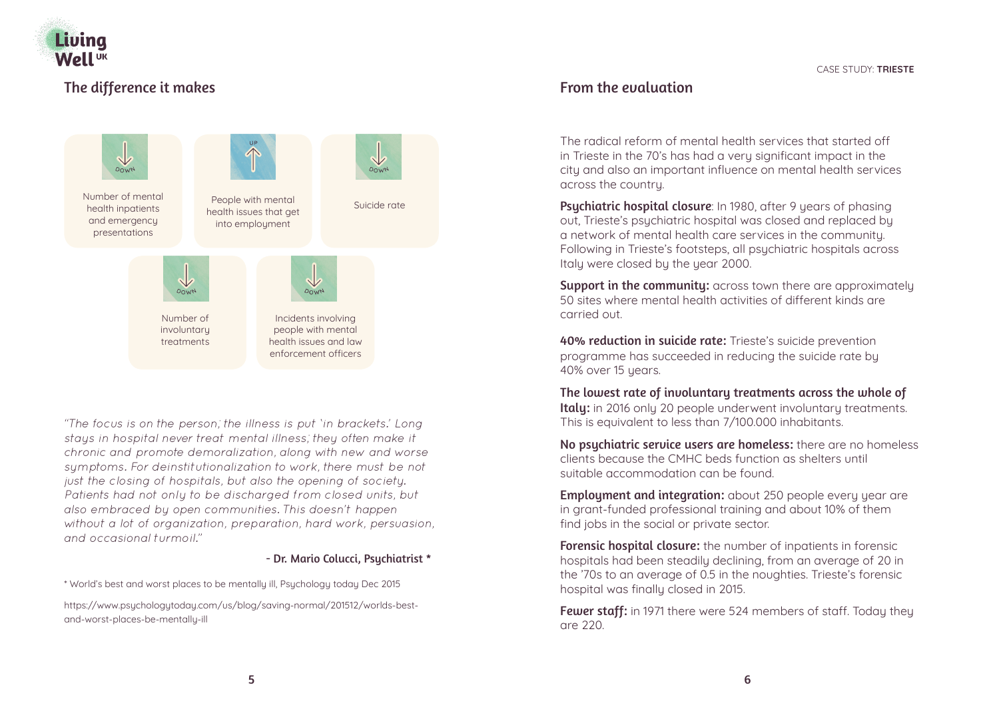

# The difference it makes



*"The focus is on the person; the illness is put 'in brackets.' Long stays in hospital never treat mental illness; they often make it chronic and promote demoralization, along with new and worse symptoms. For deinstitutionalization to work, there must be not just the closing of hospitals, but also the opening of society. Patients had not only to be discharged from closed units, but also embraced by open communities. This doesn't happen without a lot of organization, preparation, hard work, persuasion, and occasional turmoil."* 

#### - Dr. Mario Colucci, Psychiatrist \*

\* World's best and worst places to be mentally ill, Psychology today Dec 2015

https://www.psychologytoday.com/us/blog/saving-normal/201512/worlds-bestand-worst-places-be-mentally-ill

## From the evaluation

The radical reform of mental health services that started off in Trieste in the 70's has had a very significant impact in the city and also an important influence on mental health services across the country.

Psychiatric hospital closure: In 1980, after 9 years of phasing out, Trieste's psychiatric hospital was closed and replaced by a network of mental health care services in the community. Following in Trieste's footsteps, all psychiatric hospitals across Italy were closed by the year 2000.

Support in the community: across town there are approximately 50 sites where mental health activities of different kinds are carried out.

**40% reduction in suicide rate:** Trieste's suicide prevention programme has succeeded in reducing the suicide rate by 40% over 15 years.

The lowest rate of involuntary treatments across the whole of Italy: in 2016 only 20 people underwent involuntary treatments. This is equivalent to less than 7/100.000 inhabitants.

No psuchiatric service users are homeless: there are no homeless clients because the CMHC beds function as shelters until suitable accommodation can be found.

**Employment and integration:** about 250 people every year are in grant-funded professional training and about 10% of them find jobs in the social or private sector.

Forensic hospital closure: the number of inpatients in forensic hospitals had been steadily declining, from an average of 20 in the '70s to an average of 0.5 in the noughties. Trieste's forensic hospital was finally closed in 2015.

Fewer staff: in 1971 there were 524 members of staff. Today they are 220.